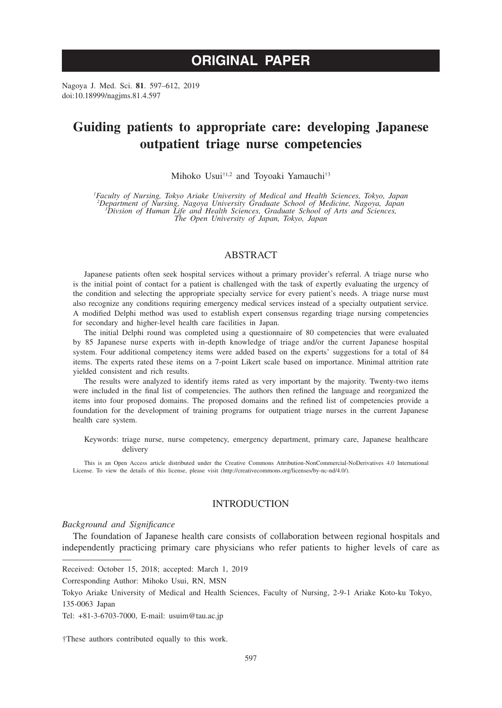# **ORIGINAL PAPER**

Nagoya J. Med. Sci. **81**. 597–612, 2019 doi:10.18999/nagjms.81.4.597

# **Guiding patients to appropriate care: developing Japanese outpatient triage nurse competencies**

Mihoko Usui†1,2 and Toyoaki Yamauchi†3

*1 Faculty of Nursing, Tokyo Ariake University of Medical and Health Sciences, Tokyo, Japan 2 Department of Nursing, Nagoya University Graduate School of Medicine, Nagoya, Japan <sup>3</sup> Divsion of Human Life and Health Sciences, Graduate School of Arts and Sciences, The Open University of Japan, Tokyo, Japan*

## ABSTRACT

Japanese patients often seek hospital services without a primary provider's referral. A triage nurse who is the initial point of contact for a patient is challenged with the task of expertly evaluating the urgency of the condition and selecting the appropriate specialty service for every patient's needs. A triage nurse must also recognize any conditions requiring emergency medical services instead of a specialty outpatient service. A modified Delphi method was used to establish expert consensus regarding triage nursing competencies for secondary and higher-level health care facilities in Japan.

The initial Delphi round was completed using a questionnaire of 80 competencies that were evaluated by 85 Japanese nurse experts with in-depth knowledge of triage and/or the current Japanese hospital system. Four additional competency items were added based on the experts' suggestions for a total of 84 items. The experts rated these items on a 7-point Likert scale based on importance. Minimal attrition rate yielded consistent and rich results.

The results were analyzed to identify items rated as very important by the majority. Twenty-two items were included in the final list of competencies. The authors then refined the language and reorganized the items into four proposed domains. The proposed domains and the refined list of competencies provide a foundation for the development of training programs for outpatient triage nurses in the current Japanese health care system.

Keywords: triage nurse, nurse competency, emergency department, primary care, Japanese healthcare delivery

This is an Open Access article distributed under the Creative Commons Attribution-NonCommercial-NoDerivatives 4.0 International License. To view the details of this license, please visit (http://creativecommons.org/licenses/by-nc-nd/4.0/).

## **INTRODUCTION**

#### *Background and Significance*

The foundation of Japanese health care consists of collaboration between regional hospitals and independently practicing primary care physicians who refer patients to higher levels of care as

Received: October 15, 2018; accepted: March 1, 2019

Corresponding Author: Mihoko Usui, RN, MSN

Tokyo Ariake University of Medical and Health Sciences, Faculty of Nursing, 2-9-1 Ariake Koto-ku Tokyo, 135-0063 Japan

Tel: +81-3-6703-7000, E-mail: usuim@tau.ac.jp

†These authors contributed equally to this work.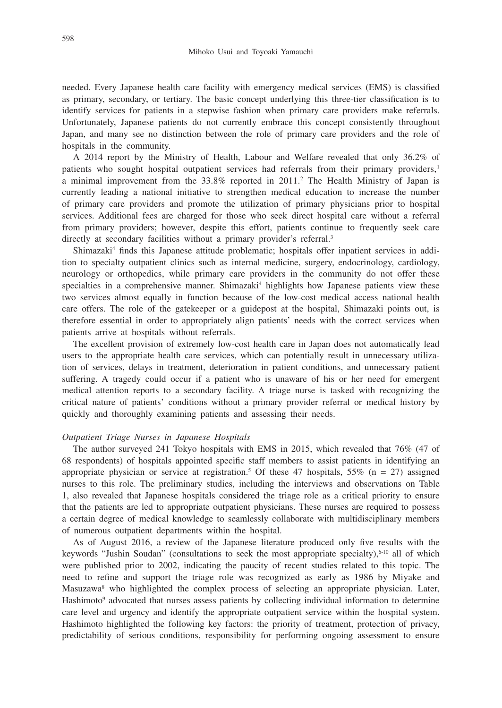needed. Every Japanese health care facility with emergency medical services (EMS) is classified as primary, secondary, or tertiary. The basic concept underlying this three-tier classification is to identify services for patients in a stepwise fashion when primary care providers make referrals. Unfortunately, Japanese patients do not currently embrace this concept consistently throughout Japan, and many see no distinction between the role of primary care providers and the role of hospitals in the community.

A 2014 report by the Ministry of Health, Labour and Welfare revealed that only 36.2% of patients who sought hospital outpatient services had referrals from their primary providers,<sup>1</sup> a minimal improvement from the 33.8% reported in 2011.2 The Health Ministry of Japan is currently leading a national initiative to strengthen medical education to increase the number of primary care providers and promote the utilization of primary physicians prior to hospital services. Additional fees are charged for those who seek direct hospital care without a referral from primary providers; however, despite this effort, patients continue to frequently seek care directly at secondary facilities without a primary provider's referral.<sup>3</sup>

Shimazaki<sup>4</sup> finds this Japanese attitude problematic; hospitals offer inpatient services in addition to specialty outpatient clinics such as internal medicine, surgery, endocrinology, cardiology, neurology or orthopedics, while primary care providers in the community do not offer these specialties in a comprehensive manner. Shimazaki<sup>4</sup> highlights how Japanese patients view these two services almost equally in function because of the low-cost medical access national health care offers. The role of the gatekeeper or a guidepost at the hospital, Shimazaki points out, is therefore essential in order to appropriately align patients' needs with the correct services when patients arrive at hospitals without referrals.

The excellent provision of extremely low-cost health care in Japan does not automatically lead users to the appropriate health care services, which can potentially result in unnecessary utilization of services, delays in treatment, deterioration in patient conditions, and unnecessary patient suffering. A tragedy could occur if a patient who is unaware of his or her need for emergent medical attention reports to a secondary facility. A triage nurse is tasked with recognizing the critical nature of patients' conditions without a primary provider referral or medical history by quickly and thoroughly examining patients and assessing their needs.

#### *Outpatient Triage Nurses in Japanese Hospitals*

The author surveyed 241 Tokyo hospitals with EMS in 2015, which revealed that 76% (47 of 68 respondents) of hospitals appointed specific staff members to assist patients in identifying an appropriate physician or service at registration.<sup>5</sup> Of these 47 hospitals, 55% ( $n = 27$ ) assigned nurses to this role. The preliminary studies, including the interviews and observations on Table 1, also revealed that Japanese hospitals considered the triage role as a critical priority to ensure that the patients are led to appropriate outpatient physicians. These nurses are required to possess a certain degree of medical knowledge to seamlessly collaborate with multidisciplinary members of numerous outpatient departments within the hospital.

As of August 2016, a review of the Japanese literature produced only five results with the keywords "Jushin Soudan" (consultations to seek the most appropriate specialty),<sup>6-10</sup> all of which were published prior to 2002, indicating the paucity of recent studies related to this topic. The need to refine and support the triage role was recognized as early as 1986 by Miyake and Masuzawa<sup>8</sup> who highlighted the complex process of selecting an appropriate physician. Later, Hashimoto<sup>9</sup> advocated that nurses assess patients by collecting individual information to determine care level and urgency and identify the appropriate outpatient service within the hospital system. Hashimoto highlighted the following key factors: the priority of treatment, protection of privacy, predictability of serious conditions, responsibility for performing ongoing assessment to ensure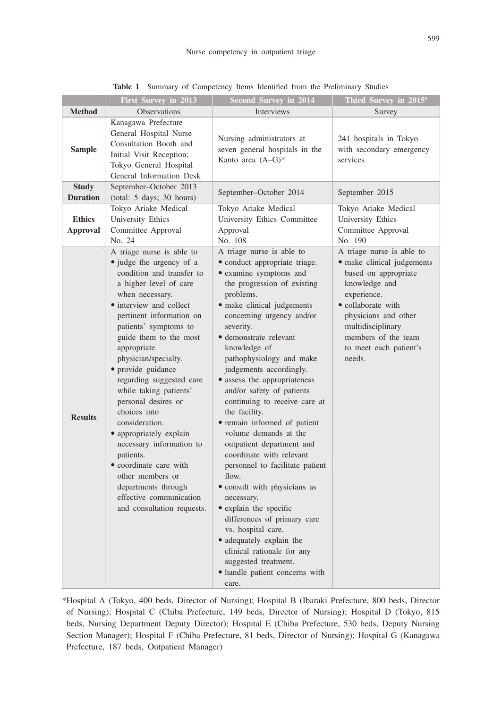|                                  | <b>First Survey in 2013</b>                                                                                                                                                                                                                                                                                                                                                                                                                                                                                                                                                                                             | <b>Second Survey in 2014</b>                                                                                                                                                                                                                                                                                                                                                                                                                                                                                                                                                                                                                                                                                                                                                                                                                     | Third Survey in 2015 <sup>5</sup>                                                                                                                                                                                                             |
|----------------------------------|-------------------------------------------------------------------------------------------------------------------------------------------------------------------------------------------------------------------------------------------------------------------------------------------------------------------------------------------------------------------------------------------------------------------------------------------------------------------------------------------------------------------------------------------------------------------------------------------------------------------------|--------------------------------------------------------------------------------------------------------------------------------------------------------------------------------------------------------------------------------------------------------------------------------------------------------------------------------------------------------------------------------------------------------------------------------------------------------------------------------------------------------------------------------------------------------------------------------------------------------------------------------------------------------------------------------------------------------------------------------------------------------------------------------------------------------------------------------------------------|-----------------------------------------------------------------------------------------------------------------------------------------------------------------------------------------------------------------------------------------------|
| <b>Method</b>                    | Observations                                                                                                                                                                                                                                                                                                                                                                                                                                                                                                                                                                                                            | <b>Interviews</b>                                                                                                                                                                                                                                                                                                                                                                                                                                                                                                                                                                                                                                                                                                                                                                                                                                | Survey                                                                                                                                                                                                                                        |
| <b>Sample</b>                    | Kanagawa Prefecture<br>General Hospital Nurse<br>Consultation Booth and<br>Initial Visit Reception;<br>Tokyo General Hospital<br>General Information Desk                                                                                                                                                                                                                                                                                                                                                                                                                                                               | Nursing administrators at<br>seven general hospitals in the<br>Kanto area $(A-G)^*$                                                                                                                                                                                                                                                                                                                                                                                                                                                                                                                                                                                                                                                                                                                                                              | 241 hospitals in Tokyo<br>with secondary emergency<br>services                                                                                                                                                                                |
| <b>Study</b><br><b>Duration</b>  | September-October 2013<br>(total: 5 days; 30 hours)                                                                                                                                                                                                                                                                                                                                                                                                                                                                                                                                                                     | September-October 2014                                                                                                                                                                                                                                                                                                                                                                                                                                                                                                                                                                                                                                                                                                                                                                                                                           | September 2015                                                                                                                                                                                                                                |
| <b>Ethics</b><br><b>Approval</b> | Tokyo Ariake Medical<br>University Ethics<br>Committee Approval<br>No. 24                                                                                                                                                                                                                                                                                                                                                                                                                                                                                                                                               | Tokyo Ariake Medical<br>University Ethics Committee<br>Approval<br>No. 108                                                                                                                                                                                                                                                                                                                                                                                                                                                                                                                                                                                                                                                                                                                                                                       | Tokyo Ariake Medical<br>University Ethics<br>Committee Approval<br>No. 190                                                                                                                                                                    |
| <b>Results</b>                   | A triage nurse is able to<br>• judge the urgency of a<br>condition and transfer to<br>a higher level of care<br>when necessary.<br>• interview and collect<br>pertinent information on<br>patients' symptoms to<br>guide them to the most<br>appropriate<br>physician/specialty.<br>• provide guidance<br>regarding suggested care<br>while taking patients'<br>personal desires or<br>choices into<br>consideration.<br>• appropriately explain<br>necessary information to<br>patients.<br>• coordinate care with<br>other members or<br>departments through<br>effective communication<br>and consultation requests. | A triage nurse is able to<br>• conduct appropriate triage.<br>· examine symptoms and<br>the progression of existing<br>problems.<br>• make clinical judgements<br>concerning urgency and/or<br>severity.<br>· demonstrate relevant<br>knowledge of<br>pathophysiology and make<br>judgements accordingly.<br>• assess the appropriateness<br>and/or safety of patients<br>continuing to receive care at<br>the facility.<br>• remain informed of patient<br>volume demands at the<br>outpatient department and<br>coordinate with relevant<br>personnel to facilitate patient<br>flow.<br>· consult with physicians as<br>necessary.<br>• explain the specific<br>differences of primary care<br>vs. hospital care.<br>• adequately explain the<br>clinical rationale for any<br>suggested treatment.<br>• handle patient concerns with<br>care. | A triage nurse is able to<br>• make clinical judgements<br>based on appropriate<br>knowledge and<br>experience.<br>• collaborate with<br>physicians and other<br>multidisciplinary<br>members of the team<br>to meet each patient's<br>needs. |

**Table 1** Summary of Competency Items Identified from the Preliminary Studies

\*Hospital A (Tokyo, 400 beds, Director of Nursing); Hospital B (Ibaraki Prefecture, 800 beds, Director of Nursing); Hospital C (Chiba Prefecture, 149 beds, Director of Nursing); Hospital D (Tokyo, 815 beds, Nursing Department Deputy Director); Hospital E (Chiba Prefecture, 530 beds, Deputy Nursing Section Manager); Hospital F (Chiba Prefecture, 81 beds, Director of Nursing); Hospital G (Kanagawa Prefecture, 187 beds, Outpatient Manager)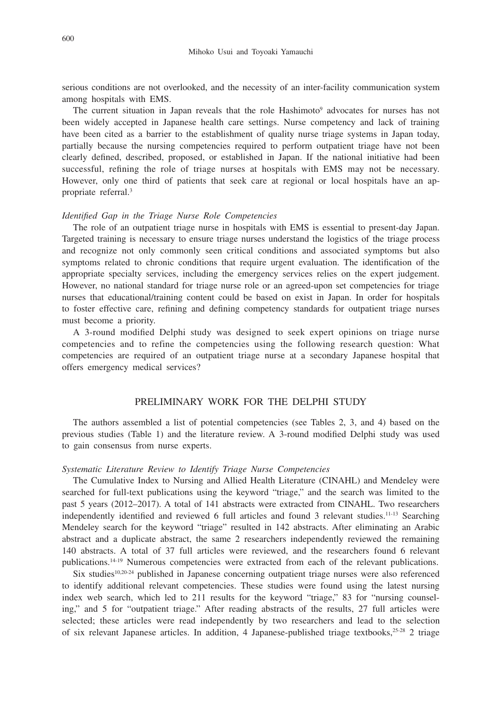serious conditions are not overlooked, and the necessity of an inter-facility communication system among hospitals with EMS.

The current situation in Japan reveals that the role Hashimoto<sup>9</sup> advocates for nurses has not been widely accepted in Japanese health care settings. Nurse competency and lack of training have been cited as a barrier to the establishment of quality nurse triage systems in Japan today, partially because the nursing competencies required to perform outpatient triage have not been clearly defined, described, proposed, or established in Japan. If the national initiative had been successful, refining the role of triage nurses at hospitals with EMS may not be necessary. However, only one third of patients that seek care at regional or local hospitals have an appropriate referral.3

### *Identified Gap in the Triage Nurse Role Competencies*

The role of an outpatient triage nurse in hospitals with EMS is essential to present-day Japan. Targeted training is necessary to ensure triage nurses understand the logistics of the triage process and recognize not only commonly seen critical conditions and associated symptoms but also symptoms related to chronic conditions that require urgent evaluation. The identification of the appropriate specialty services, including the emergency services relies on the expert judgement. However, no national standard for triage nurse role or an agreed-upon set competencies for triage nurses that educational/training content could be based on exist in Japan. In order for hospitals to foster effective care, refining and defining competency standards for outpatient triage nurses must become a priority.

A 3-round modified Delphi study was designed to seek expert opinions on triage nurse competencies and to refine the competencies using the following research question: What competencies are required of an outpatient triage nurse at a secondary Japanese hospital that offers emergency medical services?

## PRELIMINARY WORK FOR THE DELPHI STUDY

The authors assembled a list of potential competencies (see Tables 2, 3, and 4) based on the previous studies (Table 1) and the literature review. A 3-round modified Delphi study was used to gain consensus from nurse experts.

#### *Systematic Literature Review to Identify Triage Nurse Competencies*

The Cumulative Index to Nursing and Allied Health Literature (CINAHL) and Mendeley were searched for full-text publications using the keyword "triage," and the search was limited to the past 5 years (2012–2017). A total of 141 abstracts were extracted from CINAHL. Two researchers independently identified and reviewed 6 full articles and found 3 relevant studies.<sup>11-13</sup> Searching Mendeley search for the keyword "triage" resulted in 142 abstracts. After eliminating an Arabic abstract and a duplicate abstract, the same 2 researchers independently reviewed the remaining 140 abstracts. A total of 37 full articles were reviewed, and the researchers found 6 relevant publications.14-19 Numerous competencies were extracted from each of the relevant publications.

Six studies<sup>10,20-24</sup> published in Japanese concerning outpatient triage nurses were also referenced to identify additional relevant competencies. These studies were found using the latest nursing index web search, which led to 211 results for the keyword "triage," 83 for "nursing counseling," and 5 for "outpatient triage." After reading abstracts of the results, 27 full articles were selected; these articles were read independently by two researchers and lead to the selection of six relevant Japanese articles. In addition, 4 Japanese-published triage textbooks, $25-28$  2 triage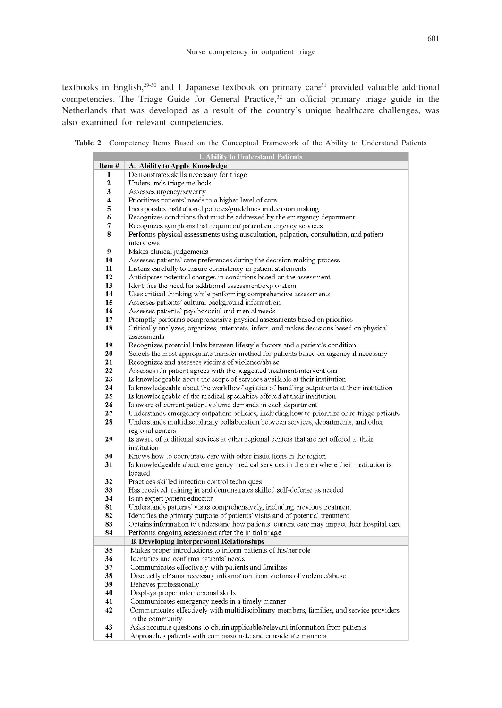textbooks in English,<sup>29-30</sup> and 1 Japanese textbook on primary care<sup>31</sup> provided valuable additional competencies. The Triage Guide for General Practice,<sup>32</sup> an official primary triage guide in the Netherlands that was developed as a result of the country's unique healthcare challenges, was also examined for relevant competencies.

**Table 2** Competency Items Based on the Conceptual Framework of the Ability to Understand Patients

|                         | <b>I. Ability to Understand Patients</b>                                                                                                                      |
|-------------------------|---------------------------------------------------------------------------------------------------------------------------------------------------------------|
| Item #                  | A. Ability to Apply Knowledge                                                                                                                                 |
| 1                       | Demonstrates skills necessary for triage                                                                                                                      |
| $\overline{\mathbf{c}}$ | Understands triage methods                                                                                                                                    |
| 3                       | Assesses urgency/severity                                                                                                                                     |
| $\overline{\bf{4}}$     | Prioritizes patients' needs to a higher level of care                                                                                                         |
| 5                       | Incorporates institutional policies/guidelines in decision making                                                                                             |
| 6                       | Recognizes conditions that must be addressed by the emergency department                                                                                      |
| 7                       | Recognizes symptoms that require outpatient emergency services                                                                                                |
| 8                       | Performs physical assessments using auscultation, palpation, consultation, and patient                                                                        |
|                         | interviews                                                                                                                                                    |
| 9                       | Makes clinical judgements                                                                                                                                     |
| 10                      | Assesses patients' care preferences during the decision-making process                                                                                        |
| 11                      | Listens carefully to ensure consistency in patient statements                                                                                                 |
| 12                      | Anticipates potential changes in conditions based on the assessment                                                                                           |
| 13                      | Identifies the need for additional assessment/exploration                                                                                                     |
| 14                      | Uses critical thinking while performing comprehensive assessments                                                                                             |
| 15                      | Assesses patients' cultural background information                                                                                                            |
| 16                      | Assesses patients' psychosocial and mental needs                                                                                                              |
| 17                      | Promptly performs comprehensive physical assessments based on priorities                                                                                      |
| 18                      | Critically analyzes, organizes, interprets, infers, and makes decisions based on physical                                                                     |
|                         | assessments                                                                                                                                                   |
| 19                      | Recognizes potential links between lifestyle factors and a patient's condition.                                                                               |
| 20                      | Selects the most appropriate transfer method for patients based on urgency if necessary                                                                       |
| 21                      | Recognizes and assesses victims of violence/abuse                                                                                                             |
| 22                      | Assesses if a patient agrees with the suggested treatment/interventions                                                                                       |
| 23                      | Is knowledgeable about the scope of services available at their institution                                                                                   |
| 24                      | Is knowledgeable about the workflow/logistics of handling outpatients at their institution                                                                    |
| 25                      | Is knowledgeable of the medical specialties offered at their institution                                                                                      |
| 26<br>27                | Is aware of current patient volume demands in each department<br>Understands emergency outpatient policies, including how to prioritize or re-triage patients |
| 28                      |                                                                                                                                                               |
|                         | Understands multidisciplinary collaboration between services, departments, and other<br>regional centers                                                      |
| 29                      | Is aware of additional services at other regional centers that are not offered at their                                                                       |
|                         | institution                                                                                                                                                   |
| 30                      | Knows how to coordinate care with other institutions in the region                                                                                            |
| 31                      | Is knowledgeable about emergency medical services in the area where their institution is                                                                      |
|                         | located                                                                                                                                                       |
| 32                      | Practices skilled infection control techniques                                                                                                                |
| 33                      | Has received training in and demonstrates skilled self-defense as needed                                                                                      |
| 34                      | Is an expert patient educator                                                                                                                                 |
| 81                      | Understands patients' visits comprehensively, including previous treatment                                                                                    |
| 82                      | Identifies the primary purpose of patients' visits and of potential treatment                                                                                 |
| 83                      | Obtains information to understand how patients' current care may impact their hospital care                                                                   |
| 84                      | Performs ongoing assessment after the initial triage                                                                                                          |
|                         | <b>B. Developing Interpersonal Relationships</b>                                                                                                              |
| 35                      | Makes proper introductions to inform patients of his/her role                                                                                                 |
| 36                      | Identifies and confirms patients' needs                                                                                                                       |
| 37                      | Communicates effectively with patients and families                                                                                                           |
| 38                      | Discreetly obtains necessary information from victims of violence/abuse                                                                                       |
| 39                      | Behaves professionally                                                                                                                                        |
| 40                      | Displays proper interpersonal skills                                                                                                                          |
| 41                      | Communicates emergency needs in a timely manner                                                                                                               |
| 42                      | Communicates effectively with multidisciplinary members, families, and service providers                                                                      |
|                         | in the community                                                                                                                                              |
| 43                      | Asks accurate questions to obtain applicable/relevant information from patients                                                                               |
| 44                      | Approaches patients with compassionate and considerate manners                                                                                                |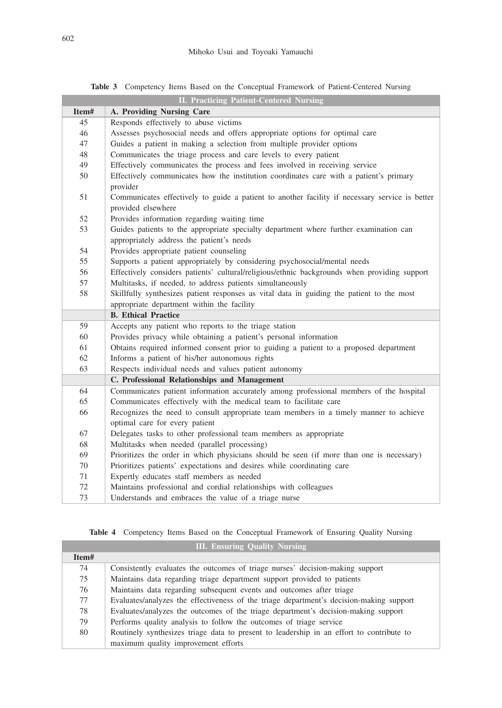|       | <b>II. Practicing Patient-Centered Nursing</b>                                                                                     |
|-------|------------------------------------------------------------------------------------------------------------------------------------|
| Item# | A. Providing Nursing Care                                                                                                          |
| 45    | Responds effectively to abuse victims                                                                                              |
| 46    | Assesses psychosocial needs and offers appropriate options for optimal care                                                        |
| 47    | Guides a patient in making a selection from multiple provider options                                                              |
| 48    | Communicates the triage process and care levels to every patient                                                                   |
| 49    | Effectively communicates the process and fees involved in receiving service                                                        |
| 50    | Effectively communicates how the institution coordinates care with a patient's primary<br>provider                                 |
| 51    | Communicates effectively to guide a patient to another facility if necessary service is better<br>provided elsewhere               |
| 52    | Provides information regarding waiting time                                                                                        |
| 53    | Guides patients to the appropriate specialty department where further examination can<br>appropriately address the patient's needs |
| 54    | Provides appropriate patient counseling                                                                                            |
| 55    | Supports a patient appropriately by considering psychosocial/mental needs                                                          |
| 56    | Effectively considers patients' cultural/religious/ethnic backgrounds when providing support                                       |
| 57    | Multitasks, if needed, to address patients simultaneously                                                                          |
| 58    | Skillfully synthesizes patient responses as vital data in guiding the patient to the most                                          |
|       | appropriate department within the facility                                                                                         |
|       | <b>B.</b> Ethical Practice                                                                                                         |
| 59    | Accepts any patient who reports to the triage station                                                                              |
| 60    | Provides privacy while obtaining a patient's personal information                                                                  |
| 61    | Obtains required informed consent prior to guiding a patient to a proposed department                                              |
| 62    | Informs a patient of his/her autonomous rights                                                                                     |
| 63    | Respects individual needs and values patient autonomy                                                                              |
|       | C. Professional Relationships and Management                                                                                       |
| 64    | Communicates patient information accurately among professional members of the hospital                                             |
| 65    | Communicates effectively with the medical team to facilitate care                                                                  |
| 66    | Recognizes the need to consult appropriate team members in a timely manner to achieve<br>optimal care for every patient            |
| 67    | Delegates tasks to other professional team members as appropriate                                                                  |
| 68    | Multitasks when needed (parallel processing)                                                                                       |
| 69    | Prioritizes the order in which physicians should be seen (if more than one is necessary)                                           |
| 70    | Prioritizes patients' expectations and desires while coordinating care                                                             |
| 71    | Expertly educates staff members as needed                                                                                          |
| 72    | Maintains professional and cordial relationships with colleagues                                                                   |
| 73    | Understands and embraces the value of a triage nurse                                                                               |

**Table 3** Competency Items Based on the Conceptual Framework of Patient-Centered Nursing

|  | Table 4 Competency Items Based on the Conceptual Framework of Ensuring Quality Nursing |  |  |  |  |  |  |  |  |  |  |
|--|----------------------------------------------------------------------------------------|--|--|--|--|--|--|--|--|--|--|
|--|----------------------------------------------------------------------------------------|--|--|--|--|--|--|--|--|--|--|

| <b>III. Ensuring Quality Nursing</b> |                                                                                          |  |  |  |  |
|--------------------------------------|------------------------------------------------------------------------------------------|--|--|--|--|
| Item#                                |                                                                                          |  |  |  |  |
| 74                                   | Consistently evaluates the outcomes of triage nurses' decision-making support            |  |  |  |  |
| 75                                   | Maintains data regarding triage department support provided to patients                  |  |  |  |  |
| 76                                   | Maintains data regarding subsequent events and outcomes after triage                     |  |  |  |  |
| 77                                   | Evaluates/analyzes the effectiveness of the triage department's decision-making support  |  |  |  |  |
| 78                                   | Evaluates/analyzes the outcomes of the triage department's decision-making support       |  |  |  |  |
| 79                                   | Performs quality analysis to follow the outcomes of triage service                       |  |  |  |  |
| 80                                   | Routinely synthesizes triage data to present to leadership in an effort to contribute to |  |  |  |  |
|                                      | maximum quality improvement efforts                                                      |  |  |  |  |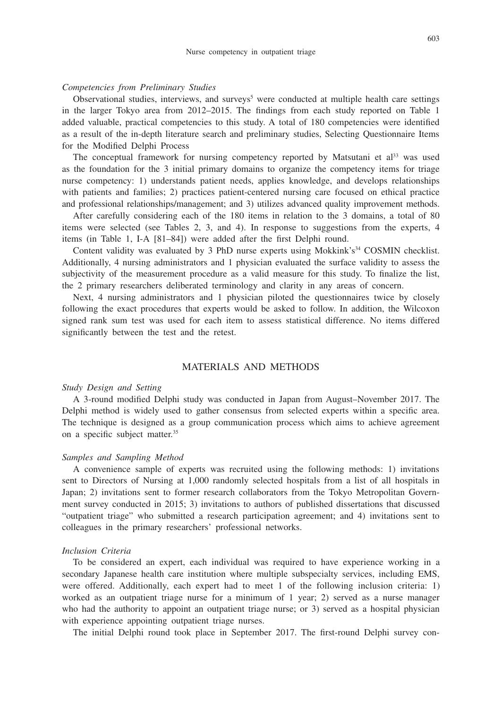### *Competencies from Preliminary Studies*

Observational studies, interviews, and surveys<sup>5</sup> were conducted at multiple health care settings in the larger Tokyo area from 2012–2015. The findings from each study reported on Table 1 added valuable, practical competencies to this study. A total of 180 competencies were identified as a result of the in-depth literature search and preliminary studies, Selecting Questionnaire Items for the Modified Delphi Process

The conceptual framework for nursing competency reported by Matsutani et  $al^{33}$  was used as the foundation for the 3 initial primary domains to organize the competency items for triage nurse competency: 1) understands patient needs, applies knowledge, and develops relationships with patients and families; 2) practices patient-centered nursing care focused on ethical practice and professional relationships/management; and 3) utilizes advanced quality improvement methods.

After carefully considering each of the 180 items in relation to the 3 domains, a total of 80 items were selected (see Tables 2, 3, and 4). In response to suggestions from the experts, 4 items (in Table 1, I-A [81–84]) were added after the first Delphi round.

Content validity was evaluated by 3 PhD nurse experts using Mokkink's<sup>34</sup> COSMIN checklist. Additionally, 4 nursing administrators and 1 physician evaluated the surface validity to assess the subjectivity of the measurement procedure as a valid measure for this study. To finalize the list, the 2 primary researchers deliberated terminology and clarity in any areas of concern.

Next, 4 nursing administrators and 1 physician piloted the questionnaires twice by closely following the exact procedures that experts would be asked to follow. In addition, the Wilcoxon signed rank sum test was used for each item to assess statistical difference. No items differed significantly between the test and the retest.

# MATERIALS AND METHODS

#### *Study Design and Setting*

A 3-round modified Delphi study was conducted in Japan from August–November 2017. The Delphi method is widely used to gather consensus from selected experts within a specific area. The technique is designed as a group communication process which aims to achieve agreement on a specific subject matter.35

#### *Samples and Sampling Method*

A convenience sample of experts was recruited using the following methods: 1) invitations sent to Directors of Nursing at 1,000 randomly selected hospitals from a list of all hospitals in Japan; 2) invitations sent to former research collaborators from the Tokyo Metropolitan Government survey conducted in 2015; 3) invitations to authors of published dissertations that discussed "outpatient triage" who submitted a research participation agreement; and 4) invitations sent to colleagues in the primary researchers' professional networks.

## *Inclusion Criteria*

To be considered an expert, each individual was required to have experience working in a secondary Japanese health care institution where multiple subspecialty services, including EMS, were offered. Additionally, each expert had to meet 1 of the following inclusion criteria: 1) worked as an outpatient triage nurse for a minimum of 1 year; 2) served as a nurse manager who had the authority to appoint an outpatient triage nurse; or 3) served as a hospital physician with experience appointing outpatient triage nurses.

The initial Delphi round took place in September 2017. The first-round Delphi survey con-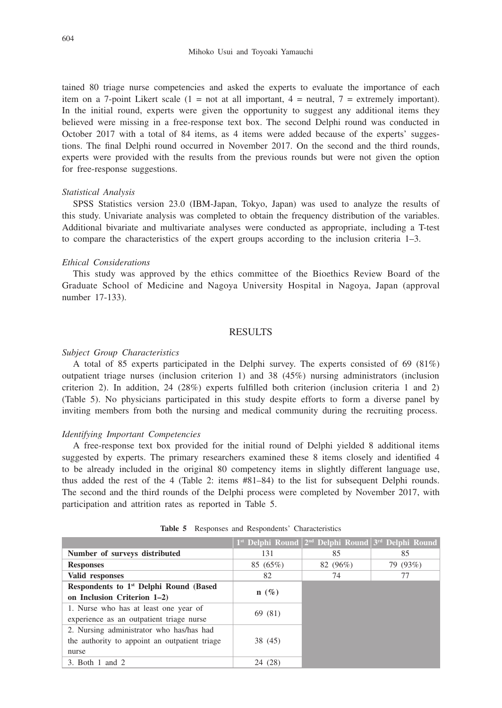tained 80 triage nurse competencies and asked the experts to evaluate the importance of each item on a 7-point Likert scale  $(1 = not at all important, 4 = neutral, 7 = extremely important)$ . In the initial round, experts were given the opportunity to suggest any additional items they believed were missing in a free-response text box. The second Delphi round was conducted in October 2017 with a total of 84 items, as 4 items were added because of the experts' suggestions. The final Delphi round occurred in November 2017. On the second and the third rounds, experts were provided with the results from the previous rounds but were not given the option for free-response suggestions.

#### *Statistical Analysis*

SPSS Statistics version 23.0 (IBM-Japan, Tokyo, Japan) was used to analyze the results of this study. Univariate analysis was completed to obtain the frequency distribution of the variables. Additional bivariate and multivariate analyses were conducted as appropriate, including a T-test to compare the characteristics of the expert groups according to the inclusion criteria 1–3.

#### *Ethical Considerations*

This study was approved by the ethics committee of the Bioethics Review Board of the Graduate School of Medicine and Nagoya University Hospital in Nagoya, Japan (approval number 17-133).

# RESULTS

#### *Subject Group Characteristics*

A total of 85 experts participated in the Delphi survey. The experts consisted of 69 (81%) outpatient triage nurses (inclusion criterion 1) and 38 (45%) nursing administrators (inclusion criterion 2). In addition, 24 (28%) experts fulfilled both criterion (inclusion criteria 1 and 2) (Table 5). No physicians participated in this study despite efforts to form a diverse panel by inviting members from both the nursing and medical community during the recruiting process.

#### *Identifying Important Competencies*

A free-response text box provided for the initial round of Delphi yielded 8 additional items suggested by experts. The primary researchers examined these 8 items closely and identified 4 to be already included in the original 80 competency items in slightly different language use, thus added the rest of the 4 (Table 2: items #81–84) to the list for subsequent Delphi rounds. The second and the third rounds of the Delphi process were completed by November 2017, with participation and attrition rates as reported in Table 5.

|                                                    |         | $1^{st}$ Delphi Round $2^{nd}$ Delphi Round $3^{rd}$ Delphi Round |          |
|----------------------------------------------------|---------|-------------------------------------------------------------------|----------|
| Number of surveys distributed                      | 131     | 85                                                                | 85       |
| <b>Responses</b>                                   | 85(65%) | 82 (96%)                                                          | 79 (93%) |
| Valid responses                                    | 82      | 74                                                                | 77       |
| Respondents to 1 <sup>st</sup> Delphi Round (Based | $n(\%)$ |                                                                   |          |
| on Inclusion Criterion 1–2)                        |         |                                                                   |          |
| 1. Nurse who has at least one year of              | 69 (81) |                                                                   |          |
| experience as an outpatient triage nurse           |         |                                                                   |          |
| 2. Nursing administrator who has/has had           |         |                                                                   |          |
| the authority to appoint an outpatient triage      | 38 (45) |                                                                   |          |
| nurse                                              |         |                                                                   |          |
| $3.$ Both 1 and 2                                  | 24 (28) |                                                                   |          |

**Table 5** Responses and Respondents' Characteristics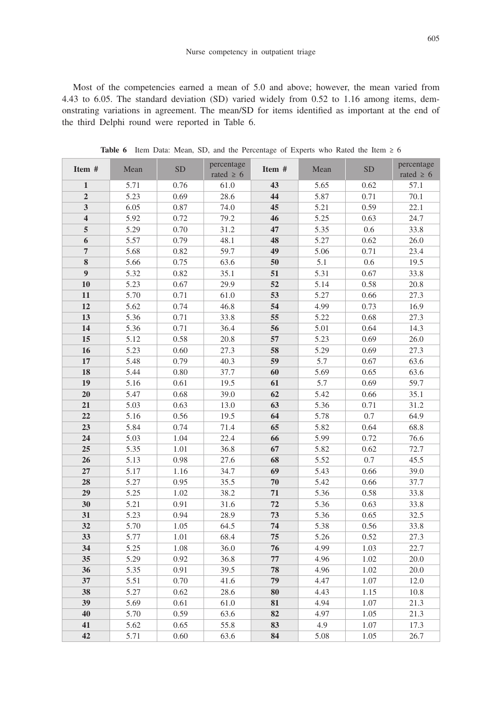Most of the competencies earned a mean of 5.0 and above; however, the mean varied from 4.43 to 6.05. The standard deviation (SD) varied widely from 0.52 to 1.16 among items, demonstrating variations in agreement. The mean/SD for items identified as important at the end of the third Delphi round were reported in Table 6.

| Item #                  | Mean | percentage<br>${\rm SD}$ |                | Item # | Mean | ${\rm SD}$ | percentage     |
|-------------------------|------|--------------------------|----------------|--------|------|------------|----------------|
|                         |      |                          | rated $\geq 6$ |        |      |            | rated $\geq 6$ |
| $\mathbf{1}$            | 5.71 | 0.76                     | 61.0           | 43     | 5.65 | 0.62       | 57.1           |
| $\mathbf 2$             | 5.23 | 0.69                     | 28.6           | 44     | 5.87 | 0.71       | 70.1           |
| $\mathbf{3}$            | 6.05 | 0.87                     | 74.0           | 45     | 5.21 | 0.59       | 22.1           |
| $\overline{\mathbf{4}}$ | 5.92 | 0.72                     | 79.2           | 46     | 5.25 | 0.63       | 24.7           |
| 5                       | 5.29 | 0.70                     | 31.2           | 47     | 5.35 | 0.6        | 33.8           |
| $\boldsymbol{6}$        | 5.57 | 0.79                     | 48.1           | 48     | 5.27 | 0.62       | 26.0           |
| $\overline{7}$          | 5.68 | 0.82                     | 59.7           | 49     | 5.06 | 0.71       | 23.4           |
| 8                       | 5.66 | 0.75                     | 63.6           | 50     | 5.1  | $0.6\,$    | 19.5           |
| $\overline{9}$          | 5.32 | 0.82                     | 35.1           | 51     | 5.31 | 0.67       | 33.8           |
| 10                      | 5.23 | 0.67                     | 29.9           | 52     | 5.14 | 0.58       | 20.8           |
| 11                      | 5.70 | 0.71                     | 61.0           | 53     | 5.27 | 0.66       | 27.3           |
| 12                      | 5.62 | 0.74                     | 46.8           | 54     | 4.99 | 0.73       | 16.9           |
| 13                      | 5.36 | 0.71                     | 33.8           | 55     | 5.22 | 0.68       | 27.3           |
| 14                      | 5.36 | 0.71                     | 36.4           | 56     | 5.01 | 0.64       | 14.3           |
| 15                      | 5.12 | 0.58                     | 20.8           | 57     | 5.23 | 0.69       | 26.0           |
| 16                      | 5.23 | 0.60                     | 27.3           | 58     | 5.29 | 0.69       | 27.3           |
| $17\,$                  | 5.48 | 0.79                     | 40.3           | 59     | 5.7  | 0.67       | 63.6           |
| 18                      | 5.44 | 0.80                     | 37.7           | 60     | 5.69 | 0.65       | 63.6           |
| 19                      | 5.16 | 0.61                     | 19.5           | 61     | 5.7  | 0.69       | 59.7           |
| 20                      | 5.47 | 0.68                     | 39.0           | 62     | 5.42 | 0.66       | 35.1           |
| ${\bf 21}$              | 5.03 | 0.63                     | 13.0           | 63     | 5.36 | 0.71       | 31.2           |
| 22                      | 5.16 | 0.56                     | 19.5           | 64     | 5.78 | 0.7        | 64.9           |
| 23                      | 5.84 | 0.74                     | 71.4           | 65     | 5.82 | 0.64       | 68.8           |
| 24                      | 5.03 | 1.04                     | 22.4           | 66     | 5.99 | 0.72       | 76.6           |
| 25                      | 5.35 | 1.01                     | 36.8           | 67     | 5.82 | 0.62       | 72.7           |
| 26                      | 5.13 | 0.98                     | 27.6           | 68     | 5.52 | 0.7        | 45.5           |
| $27\,$                  | 5.17 | 1.16                     | 34.7           | 69     | 5.43 | 0.66       | 39.0           |
| 28                      | 5.27 | 0.95                     | 35.5           | 70     | 5.42 | 0.66       | 37.7           |
| 29                      | 5.25 | 1.02                     | 38.2           | 71     | 5.36 | 0.58       | 33.8           |
| 30                      | 5.21 | 0.91                     | 31.6           | 72     | 5.36 | 0.63       | 33.8           |
| 31                      | 5.23 | 0.94                     | 28.9           | 73     | 5.36 | 0.65       | 32.5           |
| 32                      | 5.70 | 1.05                     | 64.5           | 74     | 5.38 | 0.56       | 33.8           |
| 33                      | 5.77 | 1.01                     | 68.4           | 75     | 5.26 | 0.52       | 27.3           |
| 34                      | 5.25 | 1.08                     | 36.0           | 76     | 4.99 | 1.03       | 22.7           |
| 35                      | 5.29 | 0.92                     | 36.8           | 77     | 4.96 | 1.02       | 20.0           |
| 36                      | 5.35 | 0.91                     | 39.5           | 78     | 4.96 | 1.02       | 20.0           |
| 37                      | 5.51 | 0.70                     | 41.6           | 79     | 4.47 | $1.07\,$   | 12.0           |
| 38                      | 5.27 | 0.62                     | 28.6           | 80     | 4.43 | 1.15       | $10.8\,$       |
| 39                      | 5.69 | 0.61                     | 61.0           | 81     | 4.94 | $1.07\,$   | 21.3           |
| 40                      | 5.70 | 0.59                     | 63.6           | 82     | 4.97 | 1.05       | 21.3           |
| 41                      | 5.62 | 0.65                     | 55.8           | 83     | 4.9  | 1.07       | 17.3           |
| 42                      | 5.71 | 0.60                     | 63.6           | 84     | 5.08 | 1.05       | 26.7           |

**Table 6** Item Data: Mean, SD, and the Percentage of Experts who Rated the Item ≥ 6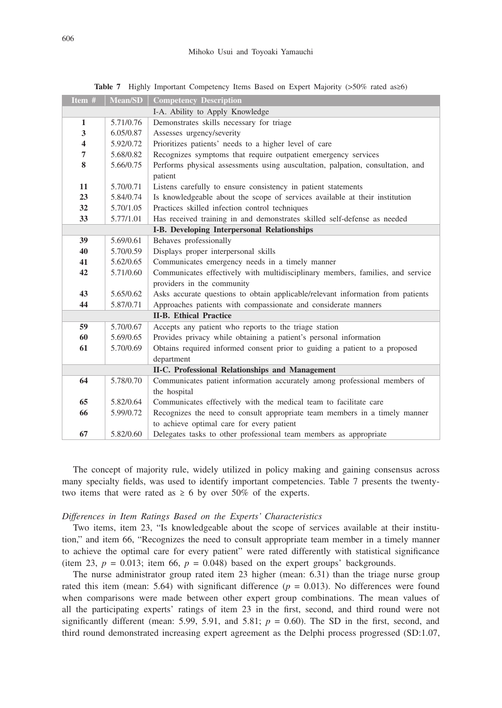| Item #                  | <b>Mean/SD</b> | <b>Competency Description</b>                                                   |
|-------------------------|----------------|---------------------------------------------------------------------------------|
|                         |                | I-A. Ability to Apply Knowledge                                                 |
| $\mathbf{1}$            | 5.71/0.76      | Demonstrates skills necessary for triage                                        |
| 3                       | 6.05/0.87      | Assesses urgency/severity                                                       |
| $\overline{\mathbf{4}}$ | 5.92/0.72      | Prioritizes patients' needs to a higher level of care                           |
| 7                       | 5.68/0.82      | Recognizes symptoms that require outpatient emergency services                  |
| 8                       | 5.66/0.75      | Performs physical assessments using auscultation, palpation, consultation, and  |
|                         |                | patient                                                                         |
| 11                      | 5.70/0.71      | Listens carefully to ensure consistency in patient statements                   |
| 23                      | 5.84/0.74      | Is knowledgeable about the scope of services available at their institution     |
| 32                      | 5.70/1.05      | Practices skilled infection control techniques                                  |
| 33                      | 5.77/1.01      | Has received training in and demonstrates skilled self-defense as needed        |
|                         |                | I-B. Developing Interpersonal Relationships                                     |
| 39                      | 5.69/0.61      | Behaves professionally                                                          |
| 40                      | 5.70/0.59      | Displays proper interpersonal skills                                            |
| 41                      | 5.62/0.65      | Communicates emergency needs in a timely manner                                 |
| 42                      | 5.71/0.60      | Communicates effectively with multidisciplinary members, families, and service  |
|                         |                | providers in the community                                                      |
| 43                      | 5.65/0.62      | Asks accurate questions to obtain applicable/relevant information from patients |
| 44                      | 5.87/0.71      | Approaches patients with compassionate and considerate manners                  |
|                         |                | <b>II-B.</b> Ethical Practice                                                   |
| 59                      | 5.70/0.67      | Accepts any patient who reports to the triage station                           |
| 60                      | 5.69/0.65      | Provides privacy while obtaining a patient's personal information               |
| 61                      | 5.70/0.69      | Obtains required informed consent prior to guiding a patient to a proposed      |
|                         |                | department                                                                      |
|                         |                | II-C. Professional Relationships and Management                                 |
| 64                      | 5.78/0.70      | Communicates patient information accurately among professional members of       |
|                         |                | the hospital                                                                    |
| 65                      | 5.82/0.64      | Communicates effectively with the medical team to facilitate care               |
| 66                      | 5.99/0.72      | Recognizes the need to consult appropriate team members in a timely manner      |
|                         |                | to achieve optimal care for every patient                                       |
| 67                      | 5.82/0.60      | Delegates tasks to other professional team members as appropriate               |

**Table 7** Highly Important Competency Items Based on Expert Majority (>50% rated as≥6)

The concept of majority rule, widely utilized in policy making and gaining consensus across many specialty fields, was used to identify important competencies. Table 7 presents the twentytwo items that were rated as  $\geq 6$  by over 50% of the experts.

### *Differences in Item Ratings Based on the Experts' Characteristics*

Two items, item 23, "Is knowledgeable about the scope of services available at their institution," and item 66, "Recognizes the need to consult appropriate team member in a timely manner to achieve the optimal care for every patient" were rated differently with statistical significance (item 23,  $p = 0.013$ ; item 66,  $p = 0.048$ ) based on the expert groups' backgrounds.

The nurse administrator group rated item 23 higher (mean: 6.31) than the triage nurse group rated this item (mean: 5.64) with significant difference  $(p = 0.013)$ . No differences were found when comparisons were made between other expert group combinations. The mean values of all the participating experts' ratings of item 23 in the first, second, and third round were not significantly different (mean: 5.99, 5.91, and 5.81;  $p = 0.60$ ). The SD in the first, second, and third round demonstrated increasing expert agreement as the Delphi process progressed (SD:1.07,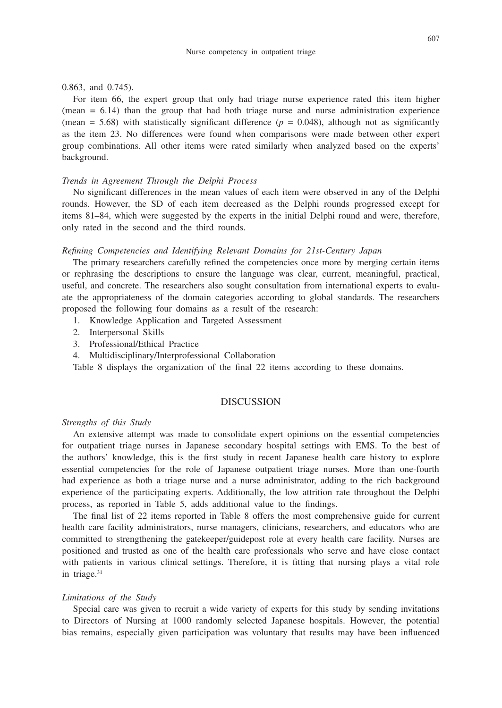#### 0.863, and 0.745).

For item 66, the expert group that only had triage nurse experience rated this item higher  $(mean = 6.14)$  than the group that had both triage nurse and nurse administration experience (mean = 5.68) with statistically significant difference  $(p = 0.048)$ , although not as significantly as the item 23. No differences were found when comparisons were made between other expert group combinations. All other items were rated similarly when analyzed based on the experts' background.

## *Trends in Agreement Through the Delphi Process*

No significant differences in the mean values of each item were observed in any of the Delphi rounds. However, the SD of each item decreased as the Delphi rounds progressed except for items 81–84, which were suggested by the experts in the initial Delphi round and were, therefore, only rated in the second and the third rounds.

## *Refining Competencies and Identifying Relevant Domains for 21st-Century Japan*

The primary researchers carefully refined the competencies once more by merging certain items or rephrasing the descriptions to ensure the language was clear, current, meaningful, practical, useful, and concrete. The researchers also sought consultation from international experts to evaluate the appropriateness of the domain categories according to global standards. The researchers proposed the following four domains as a result of the research:

- 1. Knowledge Application and Targeted Assessment
- 2. Interpersonal Skills
- 3. Professional/Ethical Practice
- 4. Multidisciplinary/Interprofessional Collaboration

Table 8 displays the organization of the final 22 items according to these domains.

# **DISCUSSION**

## *Strengths of this Study*

An extensive attempt was made to consolidate expert opinions on the essential competencies for outpatient triage nurses in Japanese secondary hospital settings with EMS. To the best of the authors' knowledge, this is the first study in recent Japanese health care history to explore essential competencies for the role of Japanese outpatient triage nurses. More than one-fourth had experience as both a triage nurse and a nurse administrator, adding to the rich background experience of the participating experts. Additionally, the low attrition rate throughout the Delphi process, as reported in Table 5, adds additional value to the findings.

The final list of 22 items reported in Table 8 offers the most comprehensive guide for current health care facility administrators, nurse managers, clinicians, researchers, and educators who are committed to strengthening the gatekeeper/guidepost role at every health care facility. Nurses are positioned and trusted as one of the health care professionals who serve and have close contact with patients in various clinical settings. Therefore, it is fitting that nursing plays a vital role in triage.<sup>31</sup>

### *Limitations of the Study*

Special care was given to recruit a wide variety of experts for this study by sending invitations to Directors of Nursing at 1000 randomly selected Japanese hospitals. However, the potential bias remains, especially given participation was voluntary that results may have been influenced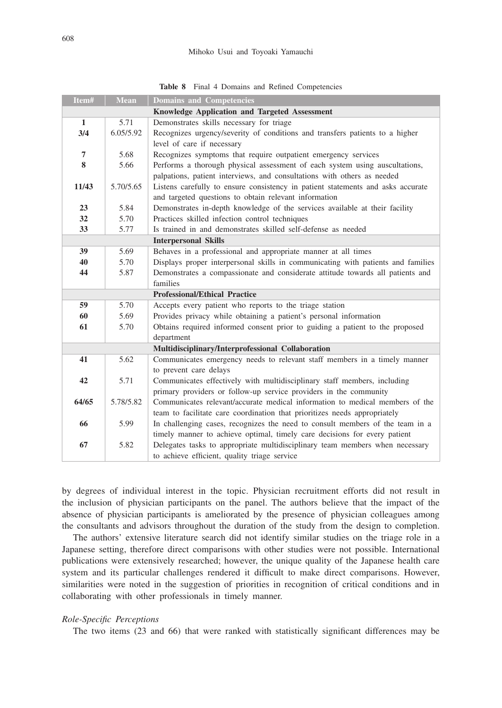|  |  |  |  |  | Table 8 Final 4 Domains and Refined Competencies |
|--|--|--|--|--|--------------------------------------------------|
|--|--|--|--|--|--------------------------------------------------|

| Item#        | <b>Mean</b> | <b>Domains and Competencies</b>                                                  |
|--------------|-------------|----------------------------------------------------------------------------------|
|              |             | Knowledge Application and Targeted Assessment                                    |
| $\mathbf{1}$ | 5.71        | Demonstrates skills necessary for triage                                         |
| 3/4          | 6.05/5.92   | Recognizes urgency/severity of conditions and transfers patients to a higher     |
|              |             | level of care if necessary                                                       |
| 7            | 5.68        | Recognizes symptoms that require outpatient emergency services                   |
| 8            | 5.66        | Performs a thorough physical assessment of each system using auscultations,      |
|              |             | palpations, patient interviews, and consultations with others as needed          |
| 11/43        | 5.70/5.65   | Listens carefully to ensure consistency in patient statements and asks accurate  |
|              |             | and targeted questions to obtain relevant information                            |
| 23           | 5.84        | Demonstrates in-depth knowledge of the services available at their facility      |
| 32           | 5.70        | Practices skilled infection control techniques                                   |
| 33           | 5.77        | Is trained in and demonstrates skilled self-defense as needed                    |
|              |             | <b>Interpersonal Skills</b>                                                      |
| 39           | 5.69        | Behaves in a professional and appropriate manner at all times                    |
| 40           | 5.70        | Displays proper interpersonal skills in communicating with patients and families |
| 44           | 5.87        | Demonstrates a compassionate and considerate attitude towards all patients and   |
|              |             | families                                                                         |
|              |             | <b>Professional/Ethical Practice</b>                                             |
| 59           | 5.70        | Accepts every patient who reports to the triage station                          |
| 60           | 5.69        | Provides privacy while obtaining a patient's personal information                |
| 61           | 5.70        | Obtains required informed consent prior to guiding a patient to the proposed     |
|              |             | department                                                                       |
|              |             | Multidisciplinary/Interprofessional Collaboration                                |
| 41           | 5.62        | Communicates emergency needs to relevant staff members in a timely manner        |
|              |             | to prevent care delays                                                           |
| 42           | 5.71        | Communicates effectively with multidisciplinary staff members, including         |
|              |             | primary providers or follow-up service providers in the community                |
| 64/65        | 5.78/5.82   | Communicates relevant/accurate medical information to medical members of the     |
|              |             | team to facilitate care coordination that prioritizes needs appropriately        |
| 66           | 5.99        | In challenging cases, recognizes the need to consult members of the team in a    |
|              |             | timely manner to achieve optimal, timely care decisions for every patient        |
| 67           | 5.82        | Delegates tasks to appropriate multidisciplinary team members when necessary     |
|              |             | to achieve efficient, quality triage service                                     |

by degrees of individual interest in the topic. Physician recruitment efforts did not result in the inclusion of physician participants on the panel. The authors believe that the impact of the absence of physician participants is ameliorated by the presence of physician colleagues among the consultants and advisors throughout the duration of the study from the design to completion.

The authors' extensive literature search did not identify similar studies on the triage role in a Japanese setting, therefore direct comparisons with other studies were not possible. International publications were extensively researched; however, the unique quality of the Japanese health care system and its particular challenges rendered it difficult to make direct comparisons. However, similarities were noted in the suggestion of priorities in recognition of critical conditions and in collaborating with other professionals in timely manner.

## *Role-Specific Perceptions*

The two items (23 and 66) that were ranked with statistically significant differences may be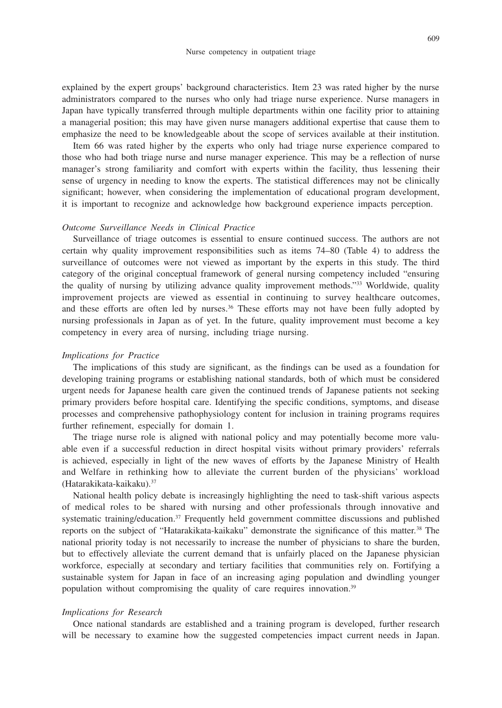explained by the expert groups' background characteristics. Item 23 was rated higher by the nurse administrators compared to the nurses who only had triage nurse experience. Nurse managers in Japan have typically transferred through multiple departments within one facility prior to attaining a managerial position; this may have given nurse managers additional expertise that cause them to emphasize the need to be knowledgeable about the scope of services available at their institution.

Item 66 was rated higher by the experts who only had triage nurse experience compared to those who had both triage nurse and nurse manager experience. This may be a reflection of nurse manager's strong familiarity and comfort with experts within the facility, thus lessening their sense of urgency in needing to know the experts. The statistical differences may not be clinically significant; however, when considering the implementation of educational program development, it is important to recognize and acknowledge how background experience impacts perception.

### *Outcome Surveillance Needs in Clinical Practice*

Surveillance of triage outcomes is essential to ensure continued success. The authors are not certain why quality improvement responsibilities such as items 74–80 (Table 4) to address the surveillance of outcomes were not viewed as important by the experts in this study. The third category of the original conceptual framework of general nursing competency included "ensuring the quality of nursing by utilizing advance quality improvement methods."33 Worldwide, quality improvement projects are viewed as essential in continuing to survey healthcare outcomes, and these efforts are often led by nurses.<sup>36</sup> These efforts may not have been fully adopted by nursing professionals in Japan as of yet. In the future, quality improvement must become a key competency in every area of nursing, including triage nursing.

#### *Implications for Practice*

The implications of this study are significant, as the findings can be used as a foundation for developing training programs or establishing national standards, both of which must be considered urgent needs for Japanese health care given the continued trends of Japanese patients not seeking primary providers before hospital care. Identifying the specific conditions, symptoms, and disease processes and comprehensive pathophysiology content for inclusion in training programs requires further refinement, especially for domain 1.

The triage nurse role is aligned with national policy and may potentially become more valuable even if a successful reduction in direct hospital visits without primary providers' referrals is achieved, especially in light of the new waves of efforts by the Japanese Ministry of Health and Welfare in rethinking how to alleviate the current burden of the physicians' workload (Hatarakikata-kaikaku).37

National health policy debate is increasingly highlighting the need to task-shift various aspects of medical roles to be shared with nursing and other professionals through innovative and systematic training/education.<sup>37</sup> Frequently held government committee discussions and published reports on the subject of "Hatarakikata-kaikaku" demonstrate the significance of this matter.<sup>38</sup> The national priority today is not necessarily to increase the number of physicians to share the burden, but to effectively alleviate the current demand that is unfairly placed on the Japanese physician workforce, especially at secondary and tertiary facilities that communities rely on. Fortifying a sustainable system for Japan in face of an increasing aging population and dwindling younger population without compromising the quality of care requires innovation.<sup>39</sup>

#### *Implications for Research*

Once national standards are established and a training program is developed, further research will be necessary to examine how the suggested competencies impact current needs in Japan.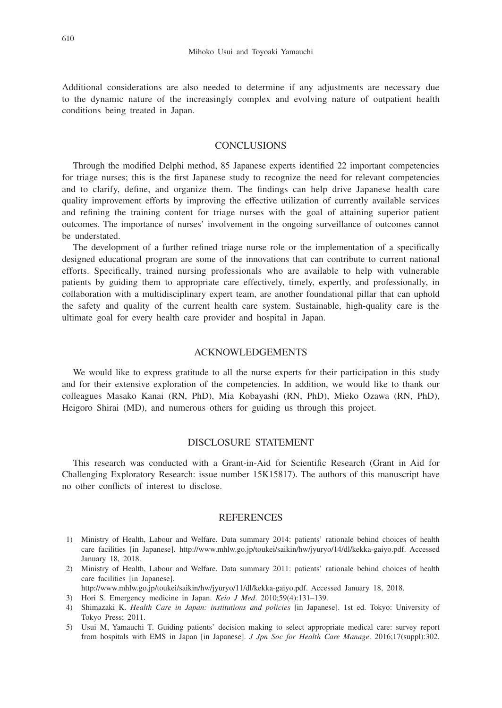Additional considerations are also needed to determine if any adjustments are necessary due to the dynamic nature of the increasingly complex and evolving nature of outpatient health conditions being treated in Japan.

# **CONCLUSIONS**

Through the modified Delphi method, 85 Japanese experts identified 22 important competencies for triage nurses; this is the first Japanese study to recognize the need for relevant competencies and to clarify, define, and organize them. The findings can help drive Japanese health care quality improvement efforts by improving the effective utilization of currently available services and refining the training content for triage nurses with the goal of attaining superior patient outcomes. The importance of nurses' involvement in the ongoing surveillance of outcomes cannot be understated.

The development of a further refined triage nurse role or the implementation of a specifically designed educational program are some of the innovations that can contribute to current national efforts. Specifically, trained nursing professionals who are available to help with vulnerable patients by guiding them to appropriate care effectively, timely, expertly, and professionally, in collaboration with a multidisciplinary expert team, are another foundational pillar that can uphold the safety and quality of the current health care system. Sustainable, high-quality care is the ultimate goal for every health care provider and hospital in Japan.

## ACKNOWLEDGEMENTS

We would like to express gratitude to all the nurse experts for their participation in this study and for their extensive exploration of the competencies. In addition, we would like to thank our colleagues Masako Kanai (RN, PhD), Mia Kobayashi (RN, PhD), Mieko Ozawa (RN, PhD), Heigoro Shirai (MD), and numerous others for guiding us through this project.

## DISCLOSURE STATEMENT

This research was conducted with a Grant-in-Aid for Scientific Research (Grant in Aid for Challenging Exploratory Research: issue number 15K15817). The authors of this manuscript have no other conflicts of interest to disclose.

## **REFERENCES**

- 1) Ministry of Health, Labour and Welfare. Data summary 2014: patients' rationale behind choices of health care facilities [in Japanese]. http://www.mhlw.go.jp/toukei/saikin/hw/jyuryo/14/dl/kekka-gaiyo.pdf. Accessed January 18, 2018.
- 2) Ministry of Health, Labour and Welfare. Data summary 2011: patients' rationale behind choices of health care facilities [in Japanese].
- http://www.mhlw.go.jp/toukei/saikin/hw/jyuryo/11/dl/kekka-gaiyo.pdf. Accessed January 18, 2018.
- 3) Hori S. Emergency medicine in Japan. *Keio J Med*. 2010;59(4):131–139.
- 4) Shimazaki K. *Health Care in Japan: institutions and policies* [in Japanese]. 1st ed. Tokyo: University of Tokyo Press; 2011.
- 5) Usui M, Yamauchi T. Guiding patients' decision making to select appropriate medical care: survey report from hospitals with EMS in Japan [in Japanese]. *J Jpn Soc for Health Care Manage*. 2016;17(suppl):302.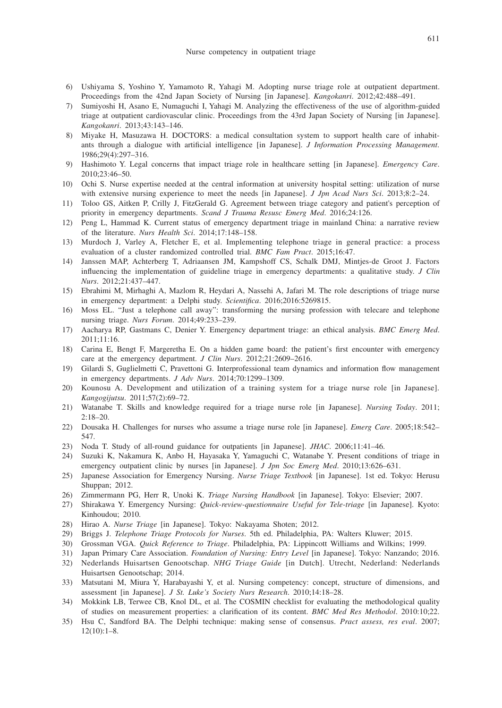- 6) Ushiyama S, Yoshino Y, Yamamoto R, Yahagi M. Adopting nurse triage role at outpatient department. Proceedings from the 42nd Japan Society of Nursing [in Japanese]. *Kangokanri*. 2012;42:488–491.
- 7) Sumiyoshi H, Asano E, Numaguchi I, Yahagi M. Analyzing the effectiveness of the use of algorithm-guided triage at outpatient cardiovascular clinic. Proceedings from the 43rd Japan Society of Nursing [in Japanese]. *Kangokanri*. 2013;43:143–146.
- 8) Miyake H, Masuzawa H. DOCTORS: a medical consultation system to support health care of inhabitants through a dialogue with artificial intelligence [in Japanese]. *J Information Processing Management*. 1986;29(4):297–316.
- 9) Hashimoto Y. Legal concerns that impact triage role in healthcare setting [in Japanese]. *Emergency Care*. 2010;23:46–50.
- 10) Ochi S. Nurse expertise needed at the central information at university hospital setting: utilization of nurse with extensive nursing experience to meet the needs [in Japanese]. *J Jpn Acad Nurs Sci*. 2013;8:2–24.
- 11) Toloo GS, Aitken P, Crilly J, FitzGerald G. Agreement between triage category and patient's perception of priority in emergency departments. *Scand J Trauma Resusc Emerg Med*. 2016;24:126.
- 12) Peng L, Hammad K. Current status of emergency department triage in mainland China: a narrative review of the literature. *Nurs Health Sci*. 2014;17:148–158.
- 13) Murdoch J, Varley A, Fletcher E, et al. Implementing telephone triage in general practice: a process evaluation of a cluster randomized controlled trial. *BMC Fam Pract*. 2015;16:47.
- 14) Janssen MAP, Achterberg T, Adriaansen JM, Kampshoff CS, Schalk DMJ, Mintjes-de Groot J. Factors influencing the implementation of guideline triage in emergency departments: a qualitative study. *J Clin Nurs*. 2012;21:437–447.
- 15) Ebrahimi M, Mirhaghi A, Mazlom R, Heydari A, Nassehi A, Jafari M. The role descriptions of triage nurse in emergency department: a Delphi study. *Scientifica*. 2016;2016:5269815.
- 16) Moss EL. "Just a telephone call away": transforming the nursing profession with telecare and telephone nursing triage. *Nurs Forum*. 2014;49:233–239.
- 17) Aacharya RP, Gastmans C, Denier Y. Emergency department triage: an ethical analysis. *BMC Emerg Med*. 2011;11:16.
- 18) Carina E, Bengt F, Margeretha E. On a hidden game board: the patient's first encounter with emergency care at the emergency department. *J Clin Nurs*. 2012;21:2609–2616.
- 19) Gilardi S, Guglielmetti C, Pravettoni G. Interprofessional team dynamics and information flow management in emergency departments. *J Adv Nurs*. 2014;70:1299–1309.
- 20) Kounosu A. Development and utilization of a training system for a triage nurse role [in Japanese]. *Kangogijutsu*. 2011;57(2):69–72.
- 21) Watanabe T. Skills and knowledge required for a triage nurse role [in Japanese]. *Nursing Today*. 2011; 2:18–20.
- 22) Dousaka H. Challenges for nurses who assume a triage nurse role [in Japanese]. *Emerg Care*. 2005;18:542– 547.
- 23) Noda T. Study of all-round guidance for outpatients [in Japanese]. *JHAC*. 2006;11:41–46.
- 24) Suzuki K, Nakamura K, Anbo H, Hayasaka Y, Yamaguchi C, Watanabe Y. Present conditions of triage in emergency outpatient clinic by nurses [in Japanese]. *J Jpn Soc Emerg Med*. 2010;13:626–631.
- 25) Japanese Association for Emergency Nursing. *Nurse Triage Textbook* [in Japanese]. 1st ed. Tokyo: Herusu Shuppan; 2012.
- 26) Zimmermann PG, Herr R, Unoki K. *Triage Nursing Handbook* [in Japanese]. Tokyo: Elsevier; 2007.
- 27) Shirakawa Y. Emergency Nursing: *Quick-review-questionnaire Useful for Tele-triage* [in Japanese]. Kyoto: Kinhoudou; 2010.
- 28) Hirao A. *Nurse Triage* [in Japanese]. Tokyo: Nakayama Shoten; 2012.
- 29) Briggs J. *Telephone Triage Protocols for Nurses*. 5th ed. Philadelphia, PA: Walters Kluwer; 2015.
- 30) Grossman VGA. *Quick Reference to Triage*. Philadelphia, PA: Lippincott Williams and Wilkins; 1999.
- 31) Japan Primary Care Association. *Foundation of Nursing: Entry Level* [in Japanese]. Tokyo: Nanzando; 2016.
- 32) Nederlands Huisartsen Genootschap. *NHG Triage Guide* [in Dutch]. Utrecht, Nederland: Nederlands Huisartsen Genootschap; 2014.
- 33) Matsutani M, Miura Y, Harabayashi Y, et al. Nursing competency: concept, structure of dimensions, and assessment [in Japanese]. *J St. Luke's Society Nurs Research*. 2010;14:18–28.
- 34) Mokkink LB, Terwee CB, Knol DL, et al. The COSMIN checklist for evaluating the methodological quality of studies on measurement properties: a clarification of its content. *BMC Med Res Methodol*. 2010:10;22.
- 35) Hsu C, Sandford BA. The Delphi technique: making sense of consensus. *Pract assess, res eval*. 2007; 12(10):1–8.